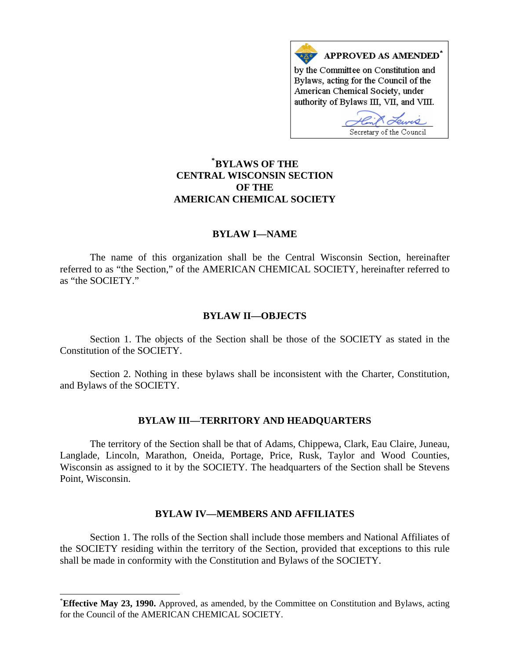

# **\* [BYLAWS OF THE](#page-0-0)  CENTRAL WISCONSIN SECTION OF THE AMERICAN CHEMICAL SOCIETY**

## **BYLAW I—NAME**

 The name of this organization shall be the Central Wisconsin Section, hereinafter referred to as "the Section," of the AMERICAN CHEMICAL SOCIETY, hereinafter referred to as "the SOCIETY."

### **BYLAW II—OBJECTS**

 Section 1. The objects of the Section shall be those of the SOCIETY as stated in the Constitution of the SOCIETY.

 Section 2. Nothing in these bylaws shall be inconsistent with the Charter, Constitution, and Bylaws of the SOCIETY.

### **BYLAW III—TERRITORY AND HEADQUARTERS**

 The territory of the Section shall be that of Adams, Chippewa, Clark, Eau Claire, Juneau, Langlade, Lincoln, Marathon, Oneida, Portage, Price, Rusk, Taylor and Wood Counties, Wisconsin as assigned to it by the SOCIETY. The headquarters of the Section shall be Stevens Point, Wisconsin.

### **BYLAW IV—MEMBERS AND AFFILIATES**

 Section 1. The rolls of the Section shall include those members and National Affiliates of the SOCIETY residing within the territory of the Section, provided that exceptions to this rule shall be made in conformity with the Constitution and Bylaws of the SOCIETY.

 $\overline{a}$ 

<span id="page-0-0"></span><sup>\*</sup> **Effective May 23, 1990.** Approved, as amended, by the Committee on Constitution and Bylaws, acting for the Council of the AMERICAN CHEMICAL SOCIETY.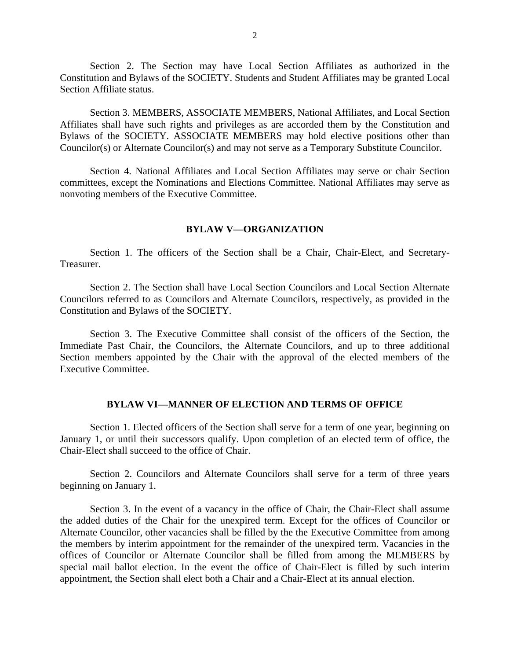Section 2. The Section may have Local Section Affiliates as authorized in the Constitution and Bylaws of the SOCIETY. Students and Student Affiliates may be granted Local Section Affiliate status.

 Section 3. MEMBERS, ASSOCIATE MEMBERS, National Affiliates, and Local Section Affiliates shall have such rights and privileges as are accorded them by the Constitution and Bylaws of the SOCIETY. ASSOCIATE MEMBERS may hold elective positions other than Councilor(s) or Alternate Councilor(s) and may not serve as a Temporary Substitute Councilor.

 Section 4. National Affiliates and Local Section Affiliates may serve or chair Section committees, except the Nominations and Elections Committee. National Affiliates may serve as nonvoting members of the Executive Committee.

#### **BYLAW V—ORGANIZATION**

 Section 1. The officers of the Section shall be a Chair, Chair-Elect, and Secretary-Treasurer.

 Section 2. The Section shall have Local Section Councilors and Local Section Alternate Councilors referred to as Councilors and Alternate Councilors, respectively, as provided in the Constitution and Bylaws of the SOCIETY.

 Section 3. The Executive Committee shall consist of the officers of the Section, the Immediate Past Chair, the Councilors, the Alternate Councilors, and up to three additional Section members appointed by the Chair with the approval of the elected members of the Executive Committee.

### **BYLAW VI—MANNER OF ELECTION AND TERMS OF OFFICE**

 Section 1. Elected officers of the Section shall serve for a term of one year, beginning on January 1, or until their successors qualify. Upon completion of an elected term of office, the Chair-Elect shall succeed to the office of Chair.

 Section 2. Councilors and Alternate Councilors shall serve for a term of three years beginning on January 1.

 Section 3. In the event of a vacancy in the office of Chair, the Chair-Elect shall assume the added duties of the Chair for the unexpired term. Except for the offices of Councilor or Alternate Councilor, other vacancies shall be filled by the the Executive Committee from among the members by interim appointment for the remainder of the unexpired term. Vacancies in the offices of Councilor or Alternate Councilor shall be filled from among the MEMBERS by special mail ballot election. In the event the office of Chair-Elect is filled by such interim appointment, the Section shall elect both a Chair and a Chair-Elect at its annual election.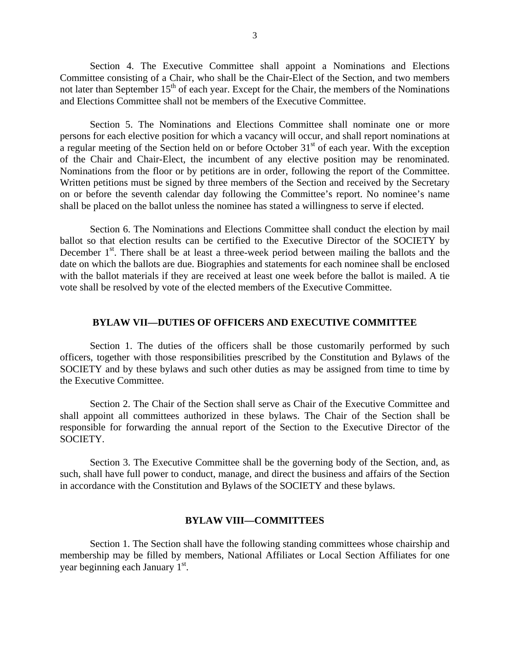Section 4. The Executive Committee shall appoint a Nominations and Elections Committee consisting of a Chair, who shall be the Chair-Elect of the Section, and two members not later than September  $15<sup>th</sup>$  of each year. Except for the Chair, the members of the Nominations and Elections Committee shall not be members of the Executive Committee.

 Section 5. The Nominations and Elections Committee shall nominate one or more persons for each elective position for which a vacancy will occur, and shall report nominations at a regular meeting of the Section held on or before October  $31<sup>st</sup>$  of each year. With the exception of the Chair and Chair-Elect, the incumbent of any elective position may be renominated. Nominations from the floor or by petitions are in order, following the report of the Committee. Written petitions must be signed by three members of the Section and received by the Secretary on or before the seventh calendar day following the Committee's report. No nominee's name shall be placed on the ballot unless the nominee has stated a willingness to serve if elected.

 Section 6. The Nominations and Elections Committee shall conduct the election by mail ballot so that election results can be certified to the Executive Director of the SOCIETY by December  $1<sup>st</sup>$ . There shall be at least a three-week period between mailing the ballots and the date on which the ballots are due. Biographies and statements for each nominee shall be enclosed with the ballot materials if they are received at least one week before the ballot is mailed. A tie vote shall be resolved by vote of the elected members of the Executive Committee.

### **BYLAW VII—DUTIES OF OFFICERS AND EXECUTIVE COMMITTEE**

 Section 1. The duties of the officers shall be those customarily performed by such officers, together with those responsibilities prescribed by the Constitution and Bylaws of the SOCIETY and by these bylaws and such other duties as may be assigned from time to time by the Executive Committee.

 Section 2. The Chair of the Section shall serve as Chair of the Executive Committee and shall appoint all committees authorized in these bylaws. The Chair of the Section shall be responsible for forwarding the annual report of the Section to the Executive Director of the SOCIETY.

 Section 3. The Executive Committee shall be the governing body of the Section, and, as such, shall have full power to conduct, manage, and direct the business and affairs of the Section in accordance with the Constitution and Bylaws of the SOCIETY and these bylaws.

#### **BYLAW VIII—COMMITTEES**

 Section 1. The Section shall have the following standing committees whose chairship and membership may be filled by members, National Affiliates or Local Section Affiliates for one year beginning each January 1<sup>st</sup>.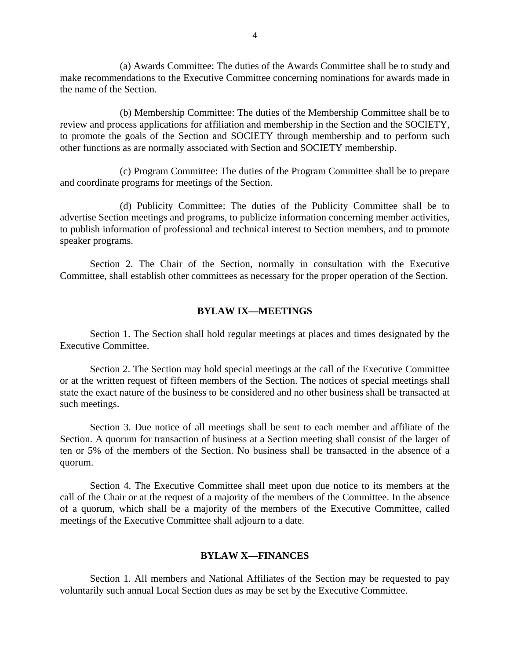(a) Awards Committee: The duties of the Awards Committee shall be to study and make recommendations to the Executive Committee concerning nominations for awards made in the name of the Section.

 (b) Membership Committee: The duties of the Membership Committee shall be to review and process applications for affiliation and membership in the Section and the SOCIETY, to promote the goals of the Section and SOCIETY through membership and to perform such other functions as are normally associated with Section and SOCIETY membership.

 (c) Program Committee: The duties of the Program Committee shall be to prepare and coordinate programs for meetings of the Section.

 (d) Publicity Committee: The duties of the Publicity Committee shall be to advertise Section meetings and programs, to publicize information concerning member activities, to publish information of professional and technical interest to Section members, and to promote speaker programs.

 Section 2. The Chair of the Section, normally in consultation with the Executive Committee, shall establish other committees as necessary for the proper operation of the Section.

#### **BYLAW IX—MEETINGS**

 Section 1. The Section shall hold regular meetings at places and times designated by the Executive Committee.

 Section 2. The Section may hold special meetings at the call of the Executive Committee or at the written request of fifteen members of the Section. The notices of special meetings shall state the exact nature of the business to be considered and no other business shall be transacted at such meetings.

 Section 3. Due notice of all meetings shall be sent to each member and affiliate of the Section. A quorum for transaction of business at a Section meeting shall consist of the larger of ten or 5% of the members of the Section. No business shall be transacted in the absence of a quorum.

 Section 4. The Executive Committee shall meet upon due notice to its members at the call of the Chair or at the request of a majority of the members of the Committee. In the absence of a quorum, which shall be a majority of the members of the Executive Committee, called meetings of the Executive Committee shall adjourn to a date.

### **BYLAW X—FINANCES**

 Section 1. All members and National Affiliates of the Section may be requested to pay voluntarily such annual Local Section dues as may be set by the Executive Committee.